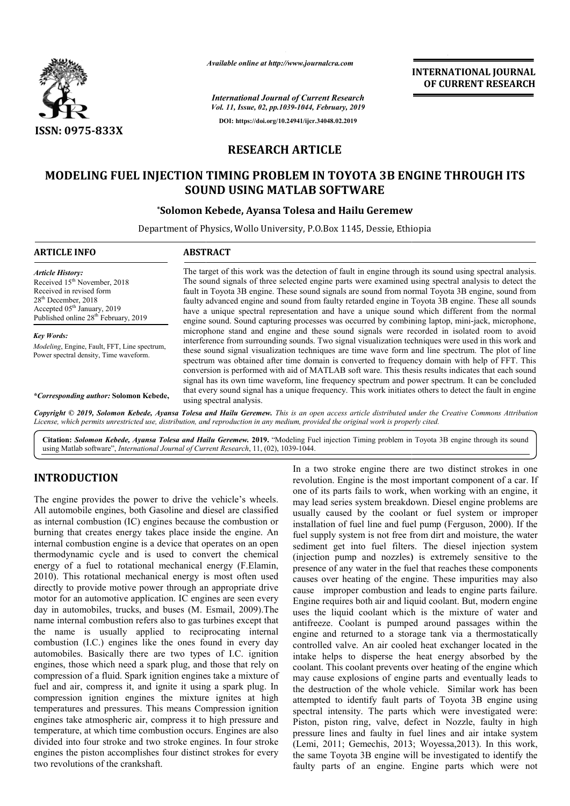

*Available online at http://www.journalcra.com*

# **OF CURRENT RESEARCH**

*Vol. 11, Issue, 02, pp.1039-1044, February, 2019* **DOI: https://doi.org/10.24941/ijcr.34048.02.2019**

*International Journal of Current Research*

# **RESEARCH ARTICLE**

## **MODELING FUEL INJECTION TIMING PROBLEM IN TOYOTA 3B ENGINE THROUGH ITS IN TOYOTA 3B ENGINE SOUND USING MATLAB SOFTWARE**

### **\*Solomon Kebede, Ayansa Tolesa and Hailu Geremew Solomon**

Department of Physics, Wollo University, P.O.Box 1145, Dessie, Ethiopia

| <b>ARTICLE INFO</b>                                                                                                                                                                                                                                                                                                                            | <b>ABSTRACT</b>                                                                                                                                                                                                                                                                                                                                                                                                                                                                                                                                                                                                                                                                                                                                                                                                                                                                                                                                                                                                                                                                                                                                                                                                                                             |
|------------------------------------------------------------------------------------------------------------------------------------------------------------------------------------------------------------------------------------------------------------------------------------------------------------------------------------------------|-------------------------------------------------------------------------------------------------------------------------------------------------------------------------------------------------------------------------------------------------------------------------------------------------------------------------------------------------------------------------------------------------------------------------------------------------------------------------------------------------------------------------------------------------------------------------------------------------------------------------------------------------------------------------------------------------------------------------------------------------------------------------------------------------------------------------------------------------------------------------------------------------------------------------------------------------------------------------------------------------------------------------------------------------------------------------------------------------------------------------------------------------------------------------------------------------------------------------------------------------------------|
| <b>Article History:</b><br>Received 15 <sup>th</sup> November, 2018<br>Received in revised form<br>$28th$ December, 2018<br>Accepted 05 <sup>th</sup> January, 2019<br>Published online 28 <sup>th</sup> February, 2019<br><b>Key Words:</b><br><i>Modeling</i> , Engine, Fault, FFT, Line spectrum,<br>Power spectral density, Time waveform. | The target of this work was the detection of fault in engine through its sound using spectral analysis.<br>The sound signals of three selected engine parts were examined using spectral analysis to detect the<br>fault in Toyota 3B engine. These sound signals are sound from normal Toyota 3B engine, sound from<br>faulty advanced engine and sound from faulty retarded engine in Toyota 3B engine. These all sounds<br>have a unique spectral representation and have a unique sound which different from the normal<br>engine sound. Sound capturing processes was occurred by combining laptop, mini-jack, microphone,<br>microphone stand and engine and these sound signals were recorded in isolated room to avoid<br>interference from surrounding sounds. Two signal visualization techniques were used in this work and<br>these sound signal visualization techniques are time wave form and line spectrum. The plot of line<br>spectrum was obtained after time domain is converted to frequency domain with help of FFT. This<br>conversion is performed with aid of MATLAB soft ware. This thesis results indicates that each sound<br>signal has its own time waveform, line frequency spectrum and power spectrum. It can be concluded |
| *Corresponding author: Solomon Kebede,                                                                                                                                                                                                                                                                                                         | that every sound signal has a unique frequency. This work initiates others to detect the fault in engine<br>using spectral analysis.                                                                                                                                                                                                                                                                                                                                                                                                                                                                                                                                                                                                                                                                                                                                                                                                                                                                                                                                                                                                                                                                                                                        |
|                                                                                                                                                                                                                                                                                                                                                | Copyright © 2019, Solomon Kebede, Ayansa Tolesa and Hailu Geremew. This is an open access article distributed under the Creative Commons Attribution<br>License, which permits unrestricted use, distribution, and reproduction in any medium, provided the original work is properly cited.                                                                                                                                                                                                                                                                                                                                                                                                                                                                                                                                                                                                                                                                                                                                                                                                                                                                                                                                                                |

Citation: Solomon Kebede, Ayansa Tolesa and Hailu Geremew. 2019. "Modeling Fuel injection Timing problem in Toyota 3B engine through its sound using Matlab software", *International Journal of Current Research*, 11, (02), 1039-1044.

## **INTRODUCTION**

The engine provides the power to drive the vehicle's wheels. All automobile engines, both Gasoline and diesel are classified as internal combustion (IC) engines because the combustion or burning that creates energy takes place inside the engine. An internal combustion engine is a device that operates on an open thermodynamic cycle and is used to convert the chemical energy of a fuel to rotational mechanical energy (F.Elamin, 2010). This rotational mechanical energy is most often used directly to provide motive power through an appropriate drive motor for an automotive application. IC engines are seen every day in automobiles, trucks, and buses (M. Esmail, 2009).The name internal combustion refers also to gas turbines except that the name is usually applied to reciprocating internal combustion (I.C.) engines like the ones found in every day automobiles. Basically there are two types of I.C. ignition engines, those which need a spark plug, and those that rely on compression of a fluid. Spark ignition engines take a mixture of fuel and air, compress it, and ignite it using a spark plug. In compression ignition engines the mixture ignites at high temperatures and pressures. This means Compression ignition engines take atmospheric air, compress it to high pressure and temperature, at which time combustion occurs. Engines are also divided into four stroke and two stroke engines. In four stroke engines the piston accomplishes four distinct strokes for every two revolutions of the crankshaft. I combustion engine is a device that operates on an open<br>dynamic cycle and is used to convert the chemical<br>of a fuel to rotational mechanical energy (F.Elamin,<br>This rotational mechanical energy is most often used<br>y to prov In a two stroke engine there are two distinct strokes in one revolution. Engine is the most important component of a car. If one of its parts fails to work, when working with an engine, it may lead series system breakdown. Diesel engine problems are usually caused by the coolant or fuel system or improper installation of fuel line and fuel pump (Ferguson, 2000). If the fuel supply system is not free from dirt and moisture, the water sediment get into fuel filters. The diesel injection system (injection pump and nozzles) is extremely sensitive to the presence of any water in the fuel that reaches these components causes over heating of the engine. These impurities may also cause improper combustion and leads to engine parts failure. Engine requires both air and liquid coolant. Bu uses the liquid coolant which is the mixture of water and antifreeze. Coolant is pumped around passages within the engine and returned to a storage tank via a thermostatically controlled valve. An air cooled heat exchanger located in the intake helps to disperse the heat energy absorbed by the coolant. This coolant prevents over heating of the engine which may cause explosions of engine parts and eventually leads to the destruction of the whole vehicle. Similar work has been attempted to identify fault parts of Toyota 3B engine using spectral intensity. The parts which were investigated were: Piston, piston ring, valve, defect in Nozzle, faulty in high pressure lines and faulty in fuel lines and air intake system (Lemi, 2011; Gemechis, 2013; Woyessa, 2013). In this work, the same Toyota 3B engine will be investigated to identify the faulty parts of an engine. Engine parts which were not lution. Engine is the most important component of a car. If of its parts fails to work, when working with an engine, it lead series system breakdown. Diesel engine problems are lly caused by the coolant or fuel system or i free from dirt and moisture, the water<br>into fuel filters. The diesel injection system<br>up and nozzles) is extremely sensitive to the presence of any water in the fuel that reaches these components causes over heating of the engine. These impurities may also cause improper combustion and leads to engine parts failure. Engine requires both air and liquid antifreeze. Coolant is pumped around passages within the engine and returned to a storage tank via a thermostatically controlled valve. An air cooled heat exchanger located in the intake helps to disperse the heat energy a **EXERCT TRANSPONAL CONSUMPATION CONSUMPATION**<br> **IFFORMATIONAL COURNATION CONSUMPATION CONSUMPATION (***H***,** *February***, 2019<br>
<b>IFFORMATION CONSUMPATION CONSUMPATION (FFORMATION IFFORMATION**<br> **IFFORMATION CONSUMPATION**<br> **I**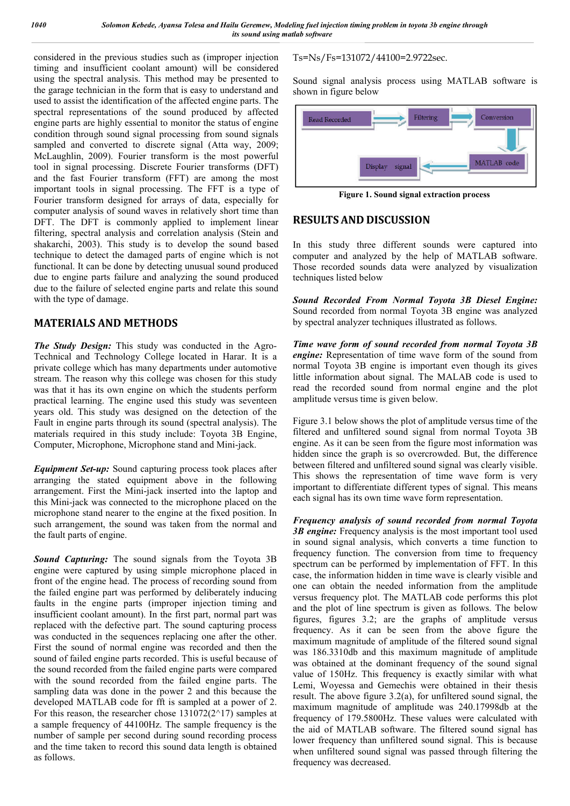considered in the previous studies such as (improper injection timing and insufficient coolant amount) will be considered using the spectral analysis. This method may be presented to the garage technician in the form that is easy to understand and used to assist the identification of the affected engine parts. The spectral representations of the sound produced by affected engine parts are highly essential to monitor the status of engine condition through sound signal processing from sound signals sampled and converted to discrete signal (Atta way, 2009; McLaughlin, 2009). Fourier transform is the most powerful tool in signal processing. Discrete Fourier transforms (DFT) and the fast Fourier transform (FFT) are among the most important tools in signal processing. The FFT is a type of Fourier transform designed for arrays of data, especially for computer analysis of sound waves in relatively short time than DFT. The DFT is commonly applied to implement linear filtering, spectral analysis and correlation analysis (Stein and shakarchi, 2003). This study is to develop the sound based technique to detect the damaged parts of engine which is not functional. It can be done by detecting unusual sound produced due to engine parts failure and analyzing the sound produced due to the failure of selected engine parts and relate this sound with the type of damage.

#### **MATERIALS AND METHODS**

*The Study Design:* This study was conducted in the Agro-Technical and Technology College located in Harar. It is a private college which has many departments under automotive stream. The reason why this college was chosen for this study was that it has its own engine on which the students perform practical learning. The engine used this study was seventeen years old. This study was designed on the detection of the Fault in engine parts through its sound (spectral analysis). The materials required in this study include: Toyota 3B Engine, Computer, Microphone, Microphone stand and Mini-jack.

*Equipment Set-up:* Sound capturing process took places after arranging the stated equipment above in the following arrangement. First the Mini-jack inserted into the laptop and this Mini-jack was connected to the microphone placed on the microphone stand nearer to the engine at the fixed position. In such arrangement, the sound was taken from the normal and the fault parts of engine.

*Sound Capturing:* The sound signals from the Toyota 3B engine were captured by using simple microphone placed in front of the engine head. The process of recording sound from the failed engine part was performed by deliberately inducing faults in the engine parts (improper injection timing and insufficient coolant amount). In the first part, normal part was replaced with the defective part. The sound capturing process was conducted in the sequences replacing one after the other. First the sound of normal engine was recorded and then the sound of failed engine parts recorded. This is useful because of the sound recorded from the failed engine parts were compared with the sound recorded from the failed engine parts. The sampling data was done in the power 2 and this because the developed MATLAB code for fft is sampled at a power of 2. For this reason, the researcher chose  $131072(2^{\wedge}17)$  samples at a sample frequency of 44100Hz. The sample frequency is the number of sample per second during sound recording process and the time taken to record this sound data length is obtained as follows.

#### Ts=Ns/Fs=131072/44100=2.9722sec.

Sound signal analysis process using MATLAB software is shown in figure below



**Figure 1. Sound signal extraction process**

#### **RESULTS AND DISCUSSION**

In this study three different sounds were captured into computer and analyzed by the help of MATLAB software. Those recorded sounds data were analyzed by visualization techniques listed below

*Sound Recorded From Normal Toyota 3B Diesel Engine:*  Sound recorded from normal Toyota 3B engine was analyzed by spectral analyzer techniques illustrated as follows.

*Time wave form of sound recorded from normal Toyota 3B engine:* Representation of time wave form of the sound from normal Toyota 3B engine is important even though its gives little information about signal. The MALAB code is used to read the recorded sound from normal engine and the plot amplitude versus time is given below.

Figure 3.1 below shows the plot of amplitude versus time of the filtered and unfiltered sound signal from normal Toyota 3B engine. As it can be seen from the figure most information was hidden since the graph is so overcrowded. But, the difference between filtered and unfiltered sound signal was clearly visible. This shows the representation of time wave form is very important to differentiate different types of signal. This means each signal has its own time wave form representation.

*Frequency analysis of sound recorded from normal Toyota 3B engine:* Frequency analysis is the most important tool used in sound signal analysis, which converts a time function to frequency function. The conversion from time to frequency spectrum can be performed by implementation of FFT. In this case, the information hidden in time wave is clearly visible and one can obtain the needed information from the amplitude versus frequency plot. The MATLAB code performs this plot and the plot of line spectrum is given as follows. The below figures, figures 3.2; are the graphs of amplitude versus frequency. As it can be seen from the above figure the maximum magnitude of amplitude of the filtered sound signal was 186.3310db and this maximum magnitude of amplitude was obtained at the dominant frequency of the sound signal value of 150Hz. This frequency is exactly similar with what Lemi, Woyessa and Gemechis were obtained in their thesis result. The above figure 3.2(a), for unfiltered sound signal, the maximum magnitude of amplitude was 240.17998db at the frequency of 179.5800Hz. These values were calculated with the aid of MATLAB software. The filtered sound signal has lower frequency than unfiltered sound signal. This is because when unfiltered sound signal was passed through filtering the frequency was decreased.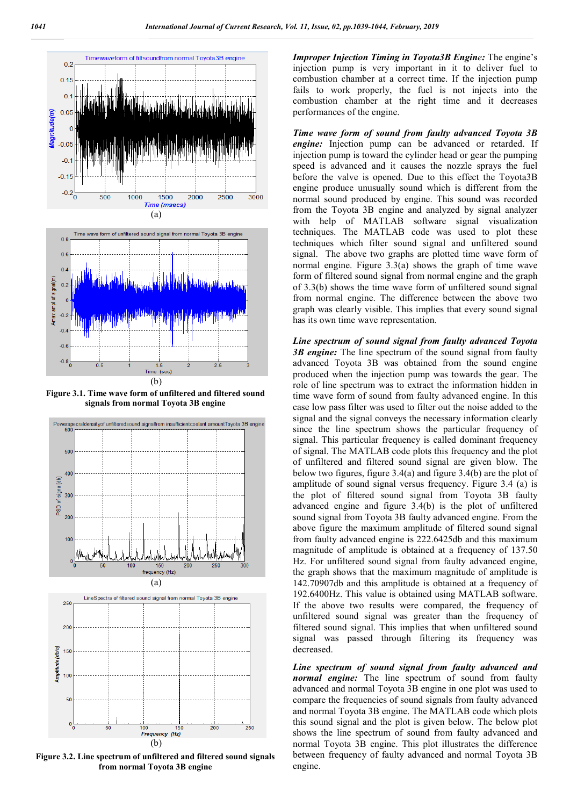

**Figure 3.1. Time wave form of unfiltered and filtered sound signals from normal Toyota 3B engine**



**Figure 3.2. Line spectrum of unfiltered and filtered sound signals from normal Toyota 3B engine**

*Improper Injection Timing in Toyota3B Engine:* The engine's injection pump is very important in it to deliver fuel to combustion chamber at a correct time. If the injection pump fails to work properly, the fuel is not injects into the combustion chamber at the right time and it decreases performances of the engine.

*Time wave form of sound from faulty advanced Toyota 3B engine:* Injection pump can be advanced or retarded. If injection pump is toward the cylinder head or gear the pumping speed is advanced and it causes the nozzle sprays the fuel before the valve is opened. Due to this effect the Toyota3B engine produce unusually sound which is different from the normal sound produced by engine. This sound was recorded from the Toyota 3B engine and analyzed by signal analyzer with help of MATLAB software signal visualization techniques. The MATLAB code was used to plot these techniques which filter sound signal and unfiltered sound signal. The above two graphs are plotted time wave form of normal engine. Figure 3.3(a) shows the graph of time wave form of filtered sound signal from normal engine and the graph of 3.3(b) shows the time wave form of unfiltered sound signal from normal engine. The difference between the above two graph was clearly visible. This implies that every sound signal has its own time wave representation.

*Line spectrum of sound signal from faulty advanced Toyota 3B engine:* The line spectrum of the sound signal from faulty advanced Toyota 3B was obtained from the sound engine produced when the injection pump was towards the gear. The role of line spectrum was to extract the information hidden in time wave form of sound from faulty advanced engine. In this case low pass filter was used to filter out the noise added to the signal and the signal conveys the necessary information clearly since the line spectrum shows the particular frequency of signal. This particular frequency is called dominant frequency of signal. The MATLAB code plots this frequency and the plot of unfiltered and filtered sound signal are given blow. The below two figures, figure 3.4(a) and figure 3.4(b) are the plot of amplitude of sound signal versus frequency. Figure 3.4 (a) is the plot of filtered sound signal from Toyota 3B faulty advanced engine and figure 3.4(b) is the plot of unfiltered sound signal from Toyota 3B faulty advanced engine. From the above figure the maximum amplitude of filtered sound signal from faulty advanced engine is 222.6425db and this maximum magnitude of amplitude is obtained at a frequency of 137.50 Hz. For unfiltered sound signal from faulty advanced engine, the graph shows that the maximum magnitude of amplitude is 142.70907db and this amplitude is obtained at a frequency of 192.6400Hz. This value is obtained using MATLAB software. If the above two results were compared, the frequency of unfiltered sound signal was greater than the frequency of filtered sound signal. This implies that when unfiltered sound signal was passed through filtering its frequency was decreased.

*Line spectrum of sound signal from faulty advanced and normal engine:* The line spectrum of sound from faulty advanced and normal Toyota 3B engine in one plot was used to compare the frequencies of sound signals from faulty advanced and normal Toyota 3B engine. The MATLAB code which plots this sound signal and the plot is given below. The below plot shows the line spectrum of sound from faulty advanced and normal Toyota 3B engine. This plot illustrates the difference between frequency of faulty advanced and normal Toyota 3B engine.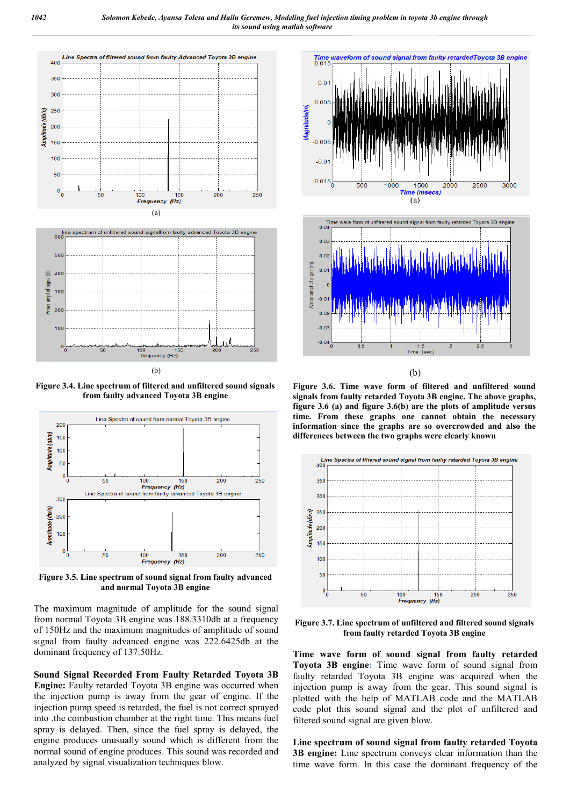

**Figure 3.4. Line spectrum of filtered and unfiltered sound signals from faulty advanced Toyota 3B engine**



**Figure 3.5. Line spectrum of sound signal from faulty advanced and normal Toyota 3B engine**

The maximum magnitude of amplitude for the sound signal from normal Toyota 3B engine was 188.3310db at a frequency of 150Hz and the maximum magnitudes of amplitude of sound signal from faulty advanced engine was 222.6425db at the dominant frequency of 137.50Hz.

**Sound Signal Recorded From Faulty Retarded Toyota 3B Engine:** Faulty retarded Toyota 3B engine was occurred when the injection pump is away from the gear of engine. If the injection pump speed is retarded, the fuel is not correct sprayed into .the combustion chamber at the right time. This means fuel spray is delayed. Then, since the fuel spray is delayed, the engine produces unusually sound which is different from the normal sound of engine produces. This sound was recorded and analyzed by signal visualization techniques blow.



(b)

**Figure 3.6. Time wave form of filtered and unfiltered sound signals from faulty retarded Toyota 3B engine. The above graphs, figure 3.6 (a) and figure 3.6(b) are the plots of amplitude versus time. From these graphs one cannot obtain the necessary information since the graphs are so overcrowded and also the differences between the two graphs were clearly known**



**Figure 3.7. Line spectrum of unfiltered and filtered sound signals from faulty retarded Toyota 3B engine**

**Time wave form of sound signal from faulty retarded Toyota 3B engine:** Time wave form of sound signal from faulty retarded Toyota 3B engine was acquired when the injection pump is away from the gear. This sound signal is plotted with the help of MATLAB code and the MATLAB code plot this sound signal and the plot of unfiltered and filtered sound signal are given blow.

**Line spectrum of sound signal from faulty retarded Toyota 3B engine:** Line spectrum conveys clear information than the time wave form. In this case the dominant frequency of the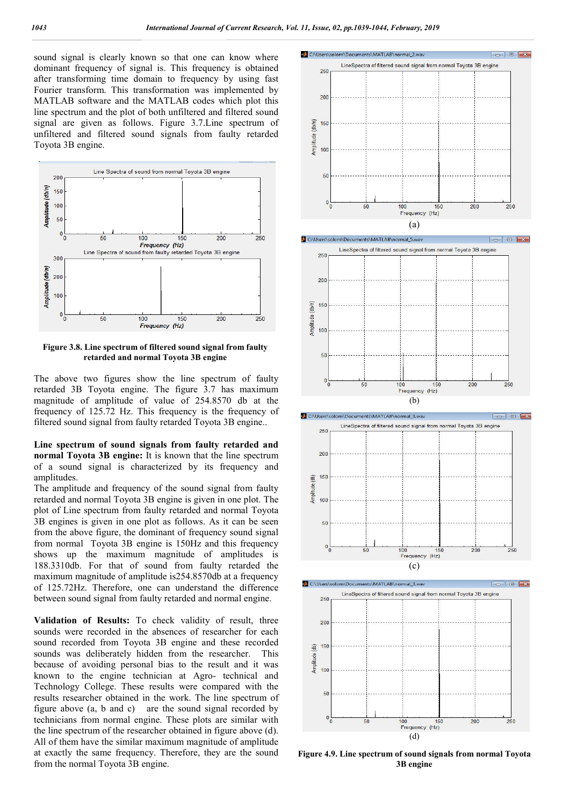sound signal is clearly known so that one can know where dominant frequency of signal is. This frequency is obtained after transforming time domain to frequency by using fast Fourier transform. This transformation was implemented by MATLAB software and the MATLAB codes which plot this line spectrum and the plot of both unfiltered and filtered sound signal are given as follows. Figure 3.7.Line spectrum of unfiltered and filtered sound signals from faulty retarded Toyota 3B engine.



**Figure 3.8. Line spectrum of filtered sound signal from faulty retarded and normal Toyota 3B engine**

The above two figures show the line spectrum of faulty retarded 3B Toyota engine. The figure 3.7 has maximum magnitude of amplitude of value of 254.8570 db at the frequency of 125.72 Hz. This frequency is the frequency of filtered sound signal from faulty retarded Toyota 3B engine..

**Line spectrum of sound signals from faulty retarded and normal Toyota 3B engine:** It is known that the line spectrum of a sound signal is characterized by its frequency and amplitudes.

The amplitude and frequency of the sound signal from faulty retarded and normal Toyota 3B engine is given in one plot. The plot of Line spectrum from faulty retarded and normal Toyota 3B engines is given in one plot as follows. As it can be seen from the above figure, the dominant of frequency sound signal from normal Toyota 3B engine is 150Hz and this frequency shows up the maximum magnitude of amplitudes is 188.3310db. For that of sound from faulty retarded the maximum magnitude of amplitude is254.8570db at a frequency of 125.72Hz. Therefore, one can understand the difference between sound signal from faulty retarded and normal engine.

**Validation of Results:** To check validity of result, three sounds were recorded in the absences of researcher for each sound recorded from Toyota 3B engine and these recorded sounds was deliberately hidden from the researcher. This because of avoiding personal bias to the result and it was known to the engine technician at Agro- technical and Technology College. These results were compared with the results researcher obtained in the work. The line spectrum of figure above (a, b and c) are the sound signal recorded by technicians from normal engine. These plots are similar with the line spectrum of the researcher obtained in figure above (d). All of them have the similar maximum magnitude of amplitude at exactly the same frequency. Therefore, they are the sound from the normal Toyota 3B engine.



**Figure 4.9. Line spectrum of sound signals from normal Toyota 3B engine**

(d)

100 Frequency (Hz)  $200$ 

 $251$